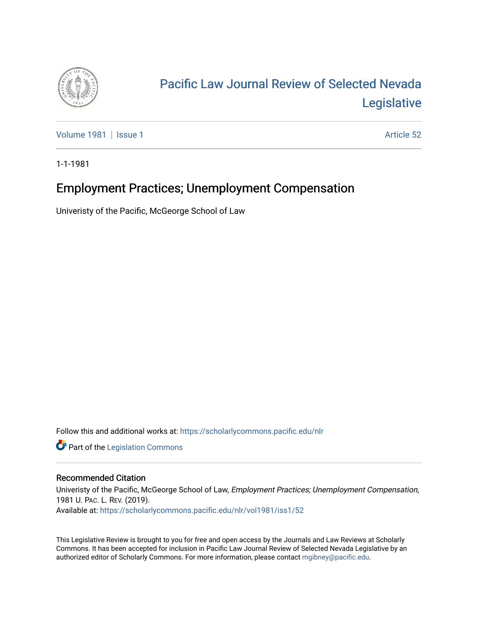

# [Pacific Law Journal Review of Selected Nevada](https://scholarlycommons.pacific.edu/nlr)  [Legislative](https://scholarlycommons.pacific.edu/nlr)

[Volume 1981](https://scholarlycommons.pacific.edu/nlr/vol1981) | [Issue 1](https://scholarlycommons.pacific.edu/nlr/vol1981/iss1) Article 52

1-1-1981

# Employment Practices; Unemployment Compensation

Univeristy of the Pacific, McGeorge School of Law

Follow this and additional works at: [https://scholarlycommons.pacific.edu/nlr](https://scholarlycommons.pacific.edu/nlr?utm_source=scholarlycommons.pacific.edu%2Fnlr%2Fvol1981%2Fiss1%2F52&utm_medium=PDF&utm_campaign=PDFCoverPages) 

**Part of the [Legislation Commons](http://network.bepress.com/hgg/discipline/859?utm_source=scholarlycommons.pacific.edu%2Fnlr%2Fvol1981%2Fiss1%2F52&utm_medium=PDF&utm_campaign=PDFCoverPages)** 

## Recommended Citation

Univeristy of the Pacific, McGeorge School of Law, Employment Practices; Unemployment Compensation, 1981 U. PAC. L. REV. (2019). Available at: [https://scholarlycommons.pacific.edu/nlr/vol1981/iss1/52](https://scholarlycommons.pacific.edu/nlr/vol1981/iss1/52?utm_source=scholarlycommons.pacific.edu%2Fnlr%2Fvol1981%2Fiss1%2F52&utm_medium=PDF&utm_campaign=PDFCoverPages)

This Legislative Review is brought to you for free and open access by the Journals and Law Reviews at Scholarly Commons. It has been accepted for inclusion in Pacific Law Journal Review of Selected Nevada Legislative by an authorized editor of Scholarly Commons. For more information, please contact [mgibney@pacific.edu](mailto:mgibney@pacific.edu).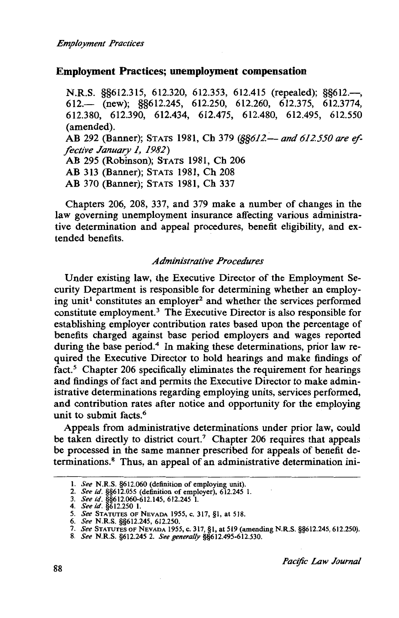### **Employment Practices; unemployment compensation**

N.R.S. §§612.315, 612.320, 612.353, 612.415 (repealed); §§612.-, 612.- (new); §§612.245, 612.250, 612.260, 612.375, 612.3774, 612.380, 612.390, 612.434, 612.475, 612.480, 612.495, 612.550 (amended). AB 292 (Banner); STATS 1981, Ch 379 (§§612.— and 612.550 are ef*fective January 1, 1982)*  AB 295 (Robinson); STATS 1981, Ch 206 AB 313 (Banner); STATS 1981, Ch 208 AB 370 (Banner); STATS 1981, Ch 337

Chapters 206, 208, 337, and 379 make a number of changes in the law governing unemployment insurance affecting various administrative determination and appeal procedures, benefit eligibility, and extended benefits.

#### *Administrative Procedures*

Under existing law, the Executive Director of the Employment Security Department is responsible for determining whether an employing unit<sup>1</sup> constitutes an employer<sup>2</sup> and whether the services performed constitute employment.<sup>3</sup> The Executive Director is also responsible for establishing employer contribution rates based upon the percentage of benefits charged against base period employers and wages reported during the base period.<sup>4</sup> In making these determinations, prior law required the Executive Director to hold hearings and make findings of fact.<sup>5</sup> Chapter 206 specifically eliminates the requirement for hearings and findings of fact and permits the Executive Director to make administrative determinations regarding employing units, services performed, and contribution rates after notice and opportunity for the employing unit to submit facts. $\frac{6}{3}$ 

Appeals from administrative determinations under prior law, could be taken directly to district court.<sup>7</sup> Chapter 206 requires that appeals be processed in the same manner prescribed for appeals of benefit determinations. 8 Thus, an appeal of an administrative determination ini-

<sup>1.</sup> *See* N.R.S. §612.060 (definition of employing unit).

<sup>2.</sup> *See id.* §§612.055 (definition of employer), 612.245 l.

<sup>3.</sup> *See id.* §§612.060-612.145, 612.245 1. 4. *See id.* §612.250 l.

<sup>5.</sup> *See* STATUTES OF NEVADA 1955, c. 317, §1, at 518.

<sup>6.</sup> *See* N.R.S. §§612.245, 612.250.

<sup>7.</sup> *See* STATUTES OF NEVADA 1955, c. 317, §1, at 519 (amending N.R.S. §§612.245, 612.250).

<sup>8.</sup> *See* N.R.S. §612.245 2. *See generally* §§612.495-612.530.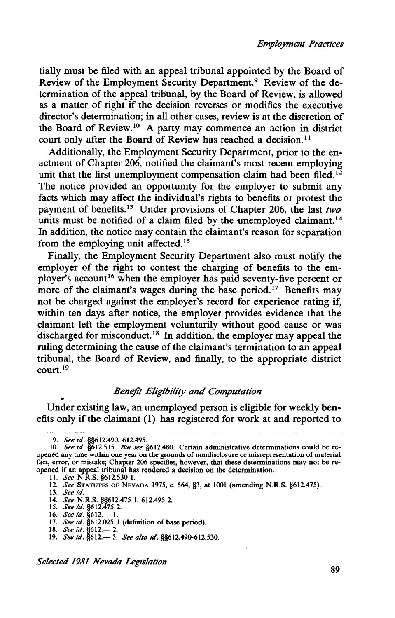tially must be filed with an appeal tribunal appointed by the Board of Review of the Employment Security Department.<sup>9</sup> Review of the determination of the appeal tribunal, by the Board of Review, is allowed as a matter of right if the decision reverses or modifies the executive director's determination; in all other cases, review is at the discretion of the Board of Review.<sup>10</sup> A party may commence an action in district court only after the Board of Review has reached a decision.<sup>11</sup>

Additionally, the Employment Security Department, prior to the enactment of Chapter 206, notified the claimant's most recent employing unit that the first unemployment compensation claim had been filed.<sup>12</sup> The notice provided an opportunity for the employer to submit any facts which may affect the individual's rights to benefits or protest the payment of benefits. 13 Under provisions of Chapter 206, the last *two*  units must be notified of a claim filed by the unemployed claimant.<sup>14</sup> In addition, the notice may contain the claimant's reason for separation from the employing unit affected.<sup>15</sup>

Finally, the Employment Security Department also must notify the employer of the right to contest the charging of benefits to the employer's account<sup>16</sup> when the employer has paid seventy-five percent or more of the claimant's wages during the base period.<sup>17</sup> Benefits may not be charged against the employer's record for experience rating if, within ten days after notice, the employer provides evidence that the claimant left the employment voluntarily without good cause or was discharged for misconduct.<sup>18</sup> In addition, the employer may appeal the ruling determining the cause of the claimant's termination to an appeal tribunal, the Board of Review, and finally, to the appropriate district  $control<sup>19</sup>$ 

#### *Benefit Eligibility and Computation*

• Under existing law, an unemployed person is eligible for weekly benefits only if the claimant ( 1) has registered for work at and reported to

<sup>9.</sup> *See id.* §§612.490, 612.495. 10. *See id.* §612.515. *But see* §612.480 .. Certain administrative determinations could be reopened any time within one year on the grounds of nondisclosure or misrepresentation of material fact, error, or mistake; Chapter 206 specifies, however, that these determinations may not be reopened if an appeal tribunal has rendered a decision on the determination.

II. *See* N.R.S. §612.530 I.

<sup>12.</sup> *See* STATUTES OF NEVADA 1975, c. 564, §3, at 1001 (amending N.R.S. §612.475).

<sup>13.</sup> *See id.* 

<sup>14.</sup> *See* N.R.S. §§612.475 1, 612.495 2.<br>15. *See id*. §612.475 2.<br>16. *See id.* §612.— 1.

<sup>17.</sup> *See id.* §612.025 I (definition of base period).

<sup>18.</sup> *See id*. §612.— 2.

<sup>19.</sup> *See id.* §612.- 3. *See also id.* §§612.490-612.530.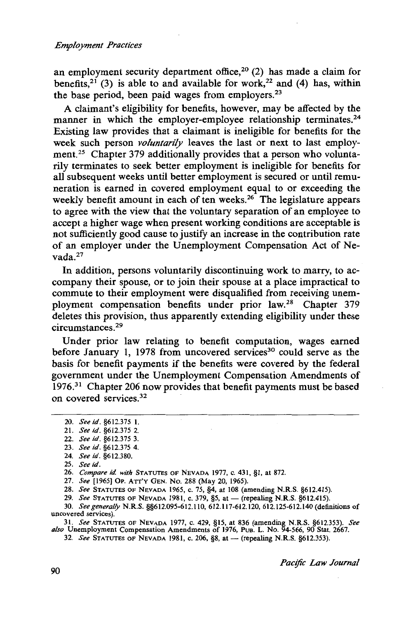an employment security department office,<sup>20</sup> (2) has made a claim for benefits,<sup>21</sup> (3) is able to and available for work,<sup>22</sup> and (4) has, within the base period, been paid wages from employers.<sup>23</sup>

A claimant's eligibility for benefits, however, may be affected by the manner in which the employer-employee relationship terminates.<sup>24</sup> Existing law provides that a claimant is ineligible for benefits for the week such person *voluntarily* leaves the last or next to last employment.<sup>25</sup> Chapter 379 additionally provides that a person who voluntarily terminates to seek better employment is ineligible for benefits for all subsequent weeks until better employment is secured or until remuneration is earned in covered employment equal to or exceeding the weekly benefit amount in each of ten weeks.<sup>26</sup> The legislature appears to agree with the view that the voluntary separation of an employee to accept a higher wage when present working conditions are acceptable is not sufficiently good cause to justify an increase in the contribution rate of an employer under the Unemployment Compensation Act of Nevada.27

In addition, persons voluntarily discontinuing work to marry, to accompany their spouse, or to join their spouse at a place impractical to commute to their employment were disqualified from receiving unemployment compensation benefits under prior law.28 Chapter 379 deletes this provision, thus apparently extending eligibility under these circumstances. 29

Under prior law relating to benefit computation, wages earned before January 1, 1978 from uncovered services<sup>30</sup> could serve as the basis for benefit payments if the benefits were covered by the federal government under the Unemployment Compensation Amendments of 1976.31 Chapter 206 now provides that benefit payments must be based on covered services. 32

25. *See id.* 

26. *Compare id with* STATUTES OF NEVADA 1977, C. 431, §1, at 872.

27. *See* [1965] OP. ATT'Y GEN. No. 288 (May 20, 1965).

28. *See* STATUTES OF NEVADA 1965, C. 75, §4, at 108 (amending N.R.S. §612.415).

29. *See* STATUTES OF NEVADA 1981, c. 379, §5, at - (repealing N.R.S. §612.415).

30. *See generally* N.R.S. §§612.095-612.110, 612.117-612.120,612.125-612.140 (definitions of uncovered services).

31. *See* STATUTES OF NEVADA 1977, c. 429, §15, at 836 (amending N.R.S. §612.353). *See also* Unemployment Compensation Amendments of 1976, PuB. L. No. 94-566, 90 Stat. 2667.

32. *See* STATUTES OF NEVADA 1981, c. 206, §8, at - (repealing N.R.S. §612.353)

*Pac!fic Law Journal* 

<sup>20.</sup> *See id.* §612.375 1.

<sup>21.</sup> *See id.* §612.375 2.

<sup>22.</sup> *See id.* §612.375 3.

<sup>23.</sup> *See id.* §612.375 4.

<sup>24.</sup> *See id.* §612.380.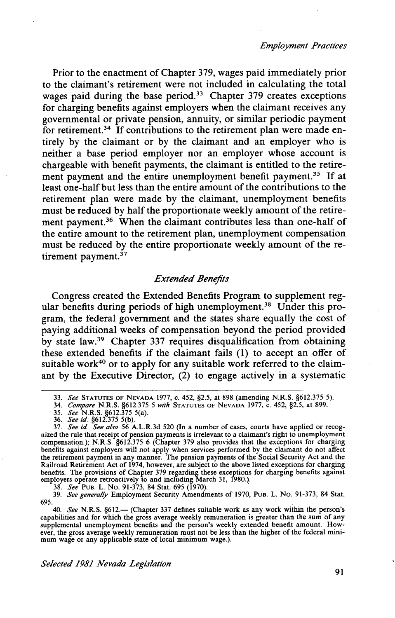Prior to the enactment of Chapter 379, wages paid immediately prior to the claimant's retirement were not included in calculating the total wages paid during the base period.<sup>33</sup> Chapter 379 creates exceptions for charging benefits against employers when the claimant receives any governmental or private pension, annuity, or similar periodic payment for retirement.<sup>34</sup> If contributions to the retirement plan were made entirely by the claimant or by the claimant and an employer who is neither a base period employer nor an employer whose account is chargeable with benefit payments, the claimant is entitled to the retirement payment and the entire unemployment benefit payment.<sup>35</sup> If at least one-half but less than the entire amount of the contributions to the retirement plan were made by the claimant, unemployment benefits must be reduced by half the proportionate weekly amount of the retirement payment.<sup>36</sup> When the claimant contributes less than one-half of the entire amount to the retirement plan, unemployment compensation must be reduced by the entire proportionate weekly amount of the retirement payment. $37$ 

#### *Extended Benefits*

Congress created the Extended Benefits Program to supplement regular benefits during periods of high unemployment.<sup>38</sup> Under this program, the federal government and the states share equally the cost of paying additional weeks of compensation beyond the period provided by state law.39 Chapter 337 requires disqualification from obtaining these extended benefits if the claimant fails (1) to accept an offer of suitable work<sup>40</sup> or to apply for any suitable work referred to the claimant by the Executive Director,  $(2)$  to engage actively in a systematic

38. *See* PuB. L. No. 91-373, 84 Stat. 695 (1970). 39. *See generally* Employment Security Amendments of 1970, PuB. L. No. 91-373, 84 Stat. 695.

40. *See* N.R.S. §612.- (Chapter 337 defines suitable work as any work within the person's capabilities and for which the gross average weekly remuneration is greater than the sum of any supplemental unemployment benefits and the person's weekly extended benefit amount. However, the gross average weekly remuneration must not be less than the higher of the federal mini-<br>mum wage or any applicable state of local minimum wage.).

<sup>33.</sup> *See* STATUTES OF NEVADA 1977, c. 452, §2.5, at 898 (amending N.R.S. §612.375 5).

<sup>34.</sup> *Compare* N.R.S. §612.375 *5 with* STATUTES OF NEVADA 1977, c. 452, §2.5, at 899.

<sup>35.</sup> *See* N.R.S. §612.375 5(a). 36. *See id.* §612.375 5(b).

<sup>37.</sup> *See id. See also* 56 A.L.R.3d 520 (In a number of cases, courts have applied or recognized the rule that receipt of pension payments is irrelevant to a claimant's right to unemployment compensation.); N.R.S. §612.375 6 (Chapter 379 also provides that the exceptions for charging benefits against employers will not apply when services performed by the claimant do not affect the retirement payment in any manner. The pension payments of the Social Security Act and the Railroad Retirement Act of 1974, however, are subject to the above listed exceptions for charging benefits. The provisions of Chapter 379 regarding these exceptions for charging benefits against employers operate retroactively to and including March 31, [980.).